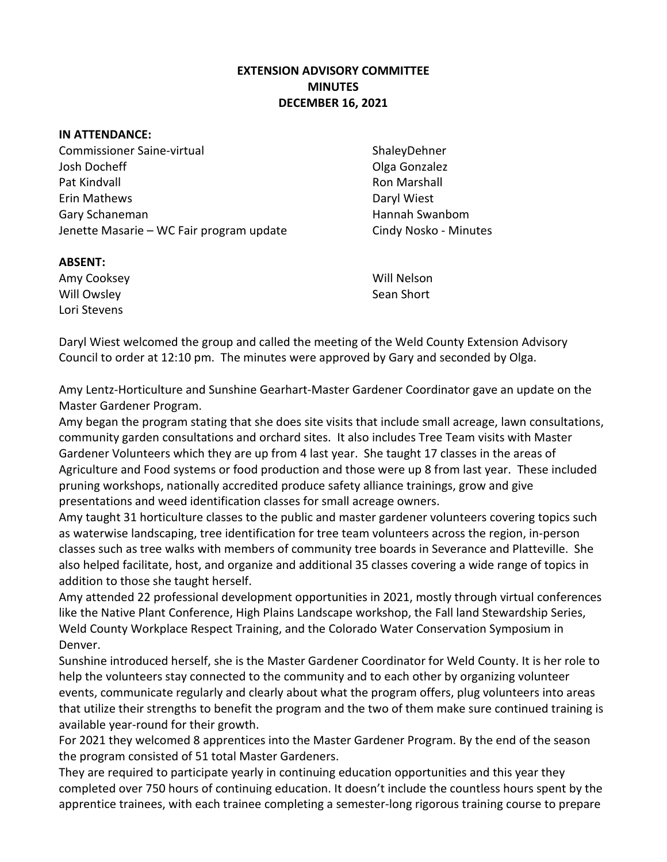## **EXTENSION ADVISORY COMMITTEE MINUTES DECEMBER 16, 2021**

## **IN ATTENDANCE:**

Commissioner Saine-virtual ShaleyDehner Josh Docheff Olga Gonzalez Pat Kindvall **Roman Marshall** Roman Marshall Roman Marshall Roman Marshall Roman Marshall Roman Marshall Roman Ma Erin Mathews **Daryl Wiest** Gary Schaneman **Hannah Swanbom** Hannah Swanbom Jenette Masarie – WC Fair program update Cindy Nosko - Minutes

## **ABSENT:**

Amy Cooksey Will Nelson Will Owsley **Sean Short** Sean Short Lori Stevens

Daryl Wiest welcomed the group and called the meeting of the Weld County Extension Advisory Council to order at 12:10 pm. The minutes were approved by Gary and seconded by Olga.

Amy Lentz-Horticulture and Sunshine Gearhart-Master Gardener Coordinator gave an update on the Master Gardener Program.

Amy began the program stating that she does site visits that include small acreage, lawn consultations, community garden consultations and orchard sites. It also includes Tree Team visits with Master Gardener Volunteers which they are up from 4 last year. She taught 17 classes in the areas of Agriculture and Food systems or food production and those were up 8 from last year. These included pruning workshops, nationally accredited produce safety alliance trainings, grow and give presentations and weed identification classes for small acreage owners.

Amy taught 31 horticulture classes to the public and master gardener volunteers covering topics such as waterwise landscaping, tree identification for tree team volunteers across the region, in-person classes such as tree walks with members of community tree boards in Severance and Platteville. She also helped facilitate, host, and organize and additional 35 classes covering a wide range of topics in addition to those she taught herself.

Amy attended 22 professional development opportunities in 2021, mostly through virtual conferences like the Native Plant Conference, High Plains Landscape workshop, the Fall land Stewardship Series, Weld County Workplace Respect Training, and the Colorado Water Conservation Symposium in Denver.

Sunshine introduced herself, she is the Master Gardener Coordinator for Weld County. It is her role to help the volunteers stay connected to the community and to each other by organizing volunteer events, communicate regularly and clearly about what the program offers, plug volunteers into areas that utilize their strengths to benefit the program and the two of them make sure continued training is available year-round for their growth.

For 2021 they welcomed 8 apprentices into the Master Gardener Program. By the end of the season the program consisted of 51 total Master Gardeners.

They are required to participate yearly in continuing education opportunities and this year they completed over 750 hours of continuing education. It doesn't include the countless hours spent by the apprentice trainees, with each trainee completing a semester-long rigorous training course to prepare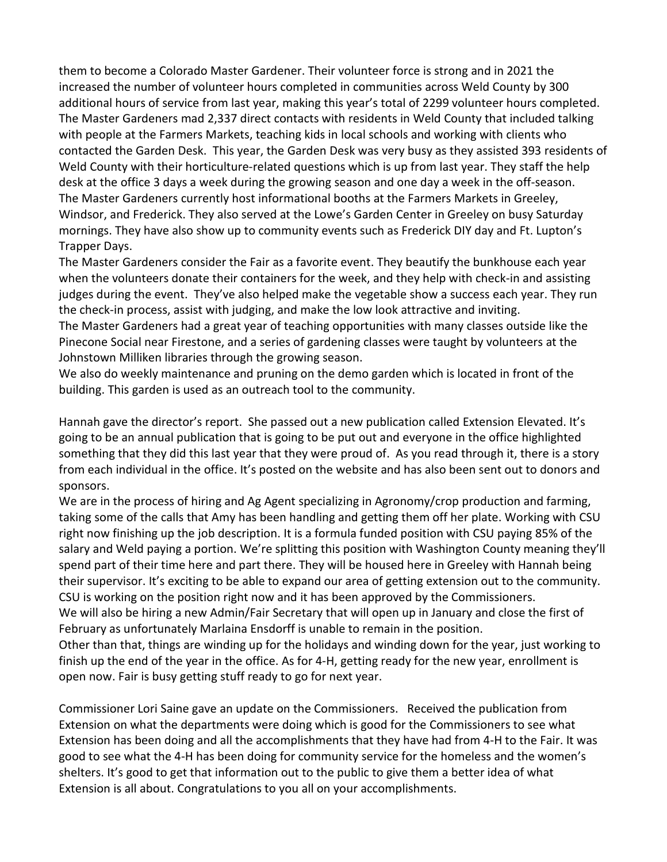them to become a Colorado Master Gardener. Their volunteer force is strong and in 2021 the increased the number of volunteer hours completed in communities across Weld County by 300 additional hours of service from last year, making this year's total of 2299 volunteer hours completed. The Master Gardeners mad 2,337 direct contacts with residents in Weld County that included talking with people at the Farmers Markets, teaching kids in local schools and working with clients who contacted the Garden Desk. This year, the Garden Desk was very busy as they assisted 393 residents of Weld County with their horticulture-related questions which is up from last year. They staff the help desk at the office 3 days a week during the growing season and one day a week in the off-season. The Master Gardeners currently host informational booths at the Farmers Markets in Greeley, Windsor, and Frederick. They also served at the Lowe's Garden Center in Greeley on busy Saturday mornings. They have also show up to community events such as Frederick DIY day and Ft. Lupton's Trapper Days.

The Master Gardeners consider the Fair as a favorite event. They beautify the bunkhouse each year when the volunteers donate their containers for the week, and they help with check-in and assisting judges during the event. They've also helped make the vegetable show a success each year. They run the check-in process, assist with judging, and make the low look attractive and inviting.

The Master Gardeners had a great year of teaching opportunities with many classes outside like the Pinecone Social near Firestone, and a series of gardening classes were taught by volunteers at the Johnstown Milliken libraries through the growing season.

We also do weekly maintenance and pruning on the demo garden which is located in front of the building. This garden is used as an outreach tool to the community.

Hannah gave the director's report. She passed out a new publication called Extension Elevated. It's going to be an annual publication that is going to be put out and everyone in the office highlighted something that they did this last year that they were proud of. As you read through it, there is a story from each individual in the office. It's posted on the website and has also been sent out to donors and sponsors.

We are in the process of hiring and Ag Agent specializing in Agronomy/crop production and farming, taking some of the calls that Amy has been handling and getting them off her plate. Working with CSU right now finishing up the job description. It is a formula funded position with CSU paying 85% of the salary and Weld paying a portion. We're splitting this position with Washington County meaning they'll spend part of their time here and part there. They will be housed here in Greeley with Hannah being their supervisor. It's exciting to be able to expand our area of getting extension out to the community. CSU is working on the position right now and it has been approved by the Commissioners.

We will also be hiring a new Admin/Fair Secretary that will open up in January and close the first of February as unfortunately Marlaina Ensdorff is unable to remain in the position.

Other than that, things are winding up for the holidays and winding down for the year, just working to finish up the end of the year in the office. As for 4-H, getting ready for the new year, enrollment is open now. Fair is busy getting stuff ready to go for next year.

Commissioner Lori Saine gave an update on the Commissioners. Received the publication from Extension on what the departments were doing which is good for the Commissioners to see what Extension has been doing and all the accomplishments that they have had from 4-H to the Fair. It was good to see what the 4-H has been doing for community service for the homeless and the women's shelters. It's good to get that information out to the public to give them a better idea of what Extension is all about. Congratulations to you all on your accomplishments.